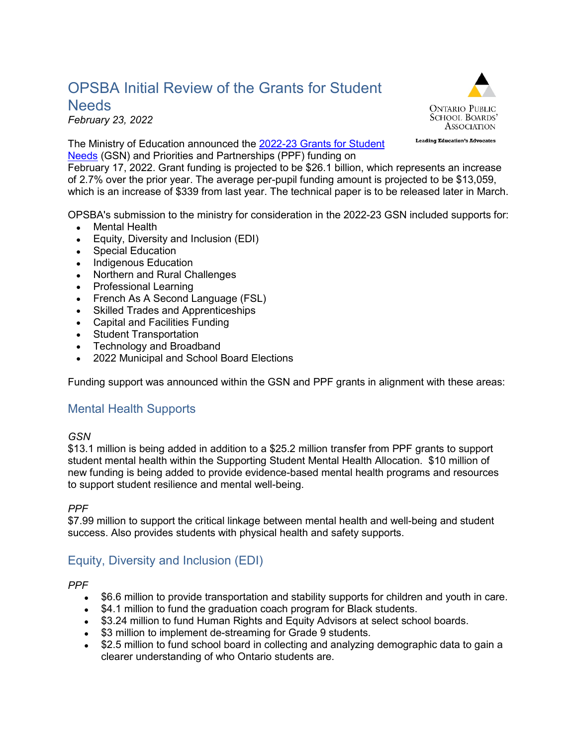# OPSBA Initial Review of the Grants for Student **Needs**

*February 23, 2022*

The Ministry of Education announced the [2022-23 Grants for Student](https://efis.fma.csc.gov.on.ca/faab/B_Memos_2022.htm)  [Needs](https://efis.fma.csc.gov.on.ca/faab/B_Memos_2022.htm) (GSN) and Priorities and Partnerships (PPF) funding on

February 17, 2022. Grant funding is projected to be \$26.1 billion, which represents an increase of 2.7% over the prior year. The average per-pupil funding amount is projected to be \$13,059, which is an increase of \$339 from last year. The technical paper is to be released later in March.

OPSBA's submission to the ministry for consideration in the 2022-23 GSN included supports for:

- Mental Health
- Equity, Diversity and Inclusion (EDI)
- Special Education
- Indigenous Education
- Northern and Rural Challenges
- Professional Learning
- French As A Second Language (FSL)
- Skilled Trades and Apprenticeships
- Capital and Facilities Funding
- **Student Transportation**
- Technology and Broadband
- 2022 Municipal and School Board Elections

Funding support was announced within the GSN and PPF grants in alignment with these areas:

### Mental Health Supports

#### *GSN*

\$13.1 million is being added in addition to a \$25.2 million transfer from PPF grants to support student mental health within the Supporting Student Mental Health Allocation. \$10 million of new funding is being added to provide evidence-based mental health programs and resources to support student resilience and mental well-being.

*PPF*

\$7.99 million to support the critical linkage between mental health and well-being and student success. Also provides students with physical health and safety supports.

### Equity, Diversity and Inclusion (EDI)

*PPF*

- \$6.6 million to provide transportation and stability supports for children and youth in care.
- \$4.1 million to fund the graduation coach program for Black students.
- \$3.24 million to fund Human Rights and Equity Advisors at select school boards.
- \$3 million to implement de-streaming for Grade 9 students.
- \$2.5 million to fund school board in collecting and analyzing demographic data to gain a clearer understanding of who Ontario students are.



**Leading Education's Advocates**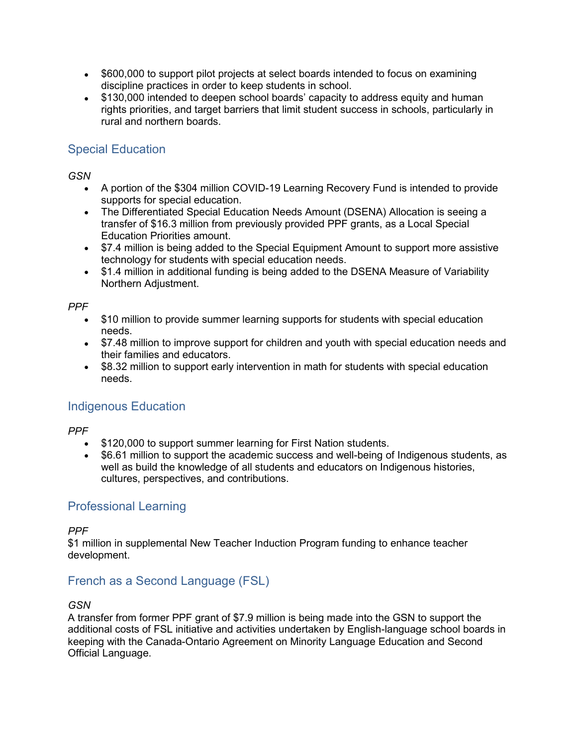- \$600,000 to support pilot projects at select boards intended to focus on examining discipline practices in order to keep students in school.
- \$130,000 intended to deepen school boards' capacity to address equity and human rights priorities, and target barriers that limit student success in schools, particularly in rural and northern boards.

## Special Education

*GSN*

- A portion of the \$304 million COVID-19 Learning Recovery Fund is intended to provide supports for special education.
- The Differentiated Special Education Needs Amount (DSENA) Allocation is seeing a transfer of \$16.3 million from previously provided PPF grants, as a Local Special Education Priorities amount.
- \$7.4 million is being added to the Special Equipment Amount to support more assistive technology for students with special education needs.
- \$1.4 million in additional funding is being added to the DSENA Measure of Variability Northern Adjustment.

#### *PPF*

- \$10 million to provide summer learning supports for students with special education needs.
- \$7.48 million to improve support for children and youth with special education needs and their families and educators.
- \$8.32 million to support early intervention in math for students with special education needs.

## Indigenous Education

*PPF*

- \$120,000 to support summer learning for First Nation students.
- \$6.61 million to support the academic success and well-being of Indigenous students, as well as build the knowledge of all students and educators on Indigenous histories, cultures, perspectives, and contributions.

## Professional Learning

*PPF*

\$1 million in supplemental New Teacher Induction Program funding to enhance teacher development.

## French as a Second Language (FSL)

*GSN*

A transfer from former PPF grant of \$7.9 million is being made into the GSN to support the additional costs of FSL initiative and activities undertaken by English-language school boards in keeping with the Canada-Ontario Agreement on Minority Language Education and Second Official Language.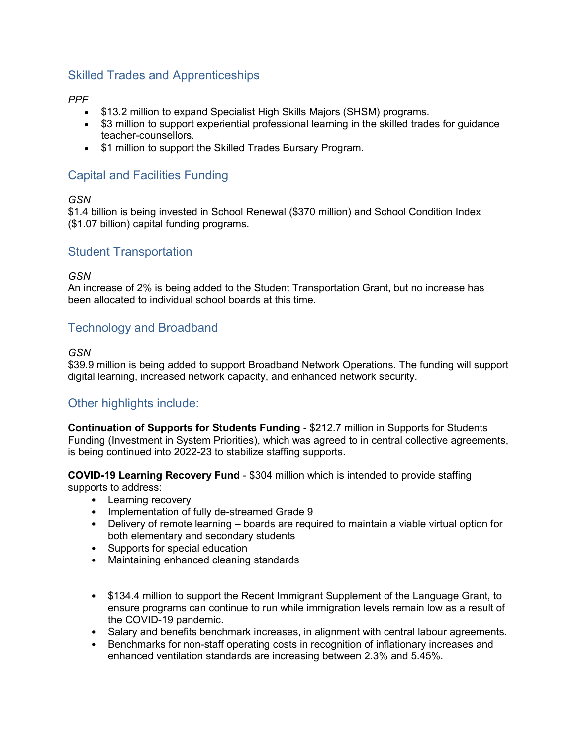## Skilled Trades and Apprenticeships

#### *PPF*

- \$13.2 million to expand Specialist High Skills Majors (SHSM) programs.
- \$3 million to support experiential professional learning in the skilled trades for guidance teacher-counsellors.
- \$1 million to support the Skilled Trades Bursary Program.

## Capital and Facilities Funding

#### *GSN*

\$1.4 billion is being invested in School Renewal (\$370 million) and School Condition Index (\$1.07 billion) capital funding programs.

### Student Transportation

#### *GSN*

An increase of 2% is being added to the Student Transportation Grant, but no increase has been allocated to individual school boards at this time.

### Technology and Broadband

#### *GSN*

\$39.9 million is being added to support Broadband Network Operations. The funding will support digital learning, increased network capacity, and enhanced network security.

### Other highlights include:

**Continuation of Supports for Students Funding** - \$212.7 million in Supports for Students Funding (Investment in System Priorities), which was agreed to in central collective agreements, is being continued into 2022-23 to stabilize staffing supports.

**COVID-19 Learning Recovery Fund** - \$304 million which is intended to provide staffing supports to address:

- Learning recovery
- Implementation of fully de-streamed Grade 9
- Delivery of remote learning boards are required to maintain a viable virtual option for both elementary and secondary students
- Supports for special education
- Maintaining enhanced cleaning standards
- \$134.4 million to support the Recent Immigrant Supplement of the Language Grant, to ensure programs can continue to run while immigration levels remain low as a result of the COVID-19 pandemic.
- Salary and benefits benchmark increases, in alignment with central labour agreements.
- Benchmarks for non-staff operating costs in recognition of inflationary increases and enhanced ventilation standards are increasing between 2.3% and 5.45%.